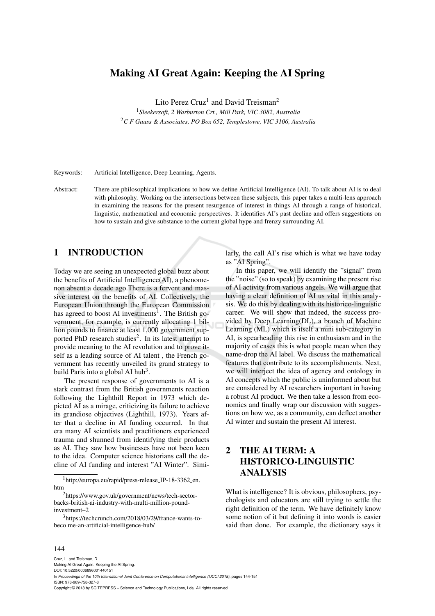# Making AI Great Again: Keeping the AI Spring

Lito Perez Cruz<sup>1</sup> and David Treisman<sup>2</sup>

<sup>1</sup>*Sleekersoft, 2 Warburton Crt., Mill Park, VIC 3082, Australia* <sup>2</sup>*C F Gauss & Associates, PO Box 652, Templestowe, VIC 3106, Australia*

Keywords: Artificial Intelligence, Deep Learning, Agents.

Abstract: There are philosophical implications to how we define Artificial Intelligence (AI). To talk about AI is to deal with philosophy. Working on the intersections between these subjects, this paper takes a multi-lens approach in examining the reasons for the present resurgence of interest in things AI through a range of historical, linguistic, mathematical and economic perspectives. It identifies AI's past decline and offers suggestions on how to sustain and give substance to the current global hype and frenzy surrounding AI.

# 1 INTRODUCTION

Today we are seeing an unexpected global buzz about the benefits of Artificial Intelligence(AI), a phenomenon absent a decade ago.There is a fervent and massive interest on the benefits of AI. Collectively, the European Union through the European Commission has agreed to boost AI investments<sup>1</sup>. The British government, for example, is currently allocating 1 billion pounds to finance at least 1,000 government supported PhD research studies<sup>2</sup>. In its latest attempt to provide meaning to the AI revolution and to prove itself as a leading source of AI talent, the French government has recently unveiled its grand strategy to build Paris into a global AI hub<sup>3</sup>.

The present response of governments to AI is a stark contrast from the British governments reaction following the Lighthill Report in 1973 which depicted AI as a mirage, criticizing its failure to achieve its grandiose objectives (Lighthill, 1973). Years after that a decline in AI funding occurred. In that era many AI scientists and practitioners experienced trauma and shunned from identifying their products as AI. They saw how businesses have not been keen to the idea. Computer science historians call the decline of AI funding and interest "AI Winter". Simi-

<sup>1</sup>http://europa.eu/rapid/press-release\_IP-18-3362\_en. htm

<sup>2</sup>https://www.gov.uk/government/news/tech-sectorbacks-british-ai-industry-with-multi-million-poundinvestment–2

<sup>3</sup>https://techcrunch.com/2018/03/29/france-wants-tobeco me-an-artificial-intelligence-hub/

larly, the call AI's rise which is what we have today as "AI Spring".

In this paper, we will identify the "signal" from the "noise" (so to speak) by examining the present rise of AI activity from various angels. We will argue that having a clear definition of AI us vital in this analysis. We do this by dealing with its historico-linguistic career. We will show that indeed, the success provided by Deep Learning(DL), a branch of Machine Learning (ML) which is itself a mini sub-category in AI, is spearheading this rise in enthusiasm and in the majority of cases this is what people mean when they name-drop the AI label. We discuss the mathematical features that contribute to its accomplishments. Next, we will interject the idea of agency and ontology in AI concepts which the public is uninformed about but are considered by AI researchers important in having a robust AI product. We then take a lesson from economics and finally wrap our discussion with suggestions on how we, as a community, can deflect another AI winter and sustain the present AI interest.

# 2 THE AI TERM: A HISTORICO-LINGUISTIC ANALYSIS

What is intelligence? It is obvious, philosophers, psychologists and educators are still trying to settle the right definition of the term. We have definitely know some notion of it but defining it into words is easier said than done. For example, the dictionary says it

#### 144

Cruz, L. and Treisman, D. Making AI Great Again: Keeping the AI Spring. DOI: 10.5220/0006896001440151

In *Proceedings of the 10th International Joint Conference on Computational Intelligence (IJCCI 2018)*, pages 144-151 ISBN: 978-989-758-327-8

Copyright © 2018 by SCITEPRESS – Science and Technology Publications, Lda. All rights reserved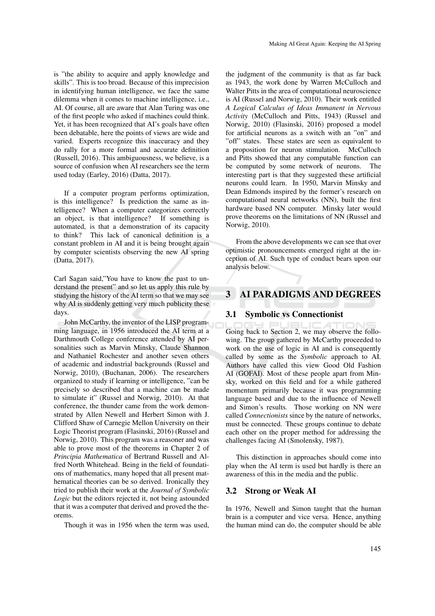is "the ability to acquire and apply knowledge and skills". This is too broad. Because of this imprecision in identifying human intelligence, we face the same dilemma when it comes to machine intelligence, i.e., AI. Of course, all are aware that Alan Turing was one of the first people who asked if machines could think. Yet, it has been recognized that AI's goals have often been debatable, here the points of views are wide and varied. Experts recognize this inaccuracy and they do rally for a more formal and accurate definition (Russell, 2016). This ambiguousness, we believe, is a source of confusion when AI researchers see the term used today (Earley, 2016) (Datta, 2017).

If a computer program performs optimization, is this intelligence? Is prediction the same as intelligence? When a computer categorizes correctly an object, is that intelligence? If something is automated, is that a demonstration of its capacity to think? This lack of canonical definition is a constant problem in AI and it is being brought again by computer scientists observing the new AI spring (Datta, 2017).

Carl Sagan said,"You have to know the past to understand the present" and so let us apply this rule by studying the history of the AI term so that we may see why AI is suddenly getting very much publicity these days.

John McCarthy, the inventor of the LISP programming language, in 1956 introduced the AI term at a Darthmouth College conference attended by AI personalities such as Marvin Minsky, Claude Shannon and Nathaniel Rochester and another seven others of academic and industrial backgrounds (Russel and Norwig, 2010), (Buchanan, 2006). The researchers organized to study if learning or intelligence, "can be precisely so described that a machine can be made to simulate it" (Russel and Norwig, 2010). At that conference, the thunder came from the work demonstrated by Allen Newell and Herbert Simon with J. Clifford Shaw of Carnegie Mellon University on their Logic Theorist program (Flasinski, 2016) (Russel and Norwig, 2010). This program was a reasoner and was able to prove most of the theorems in Chapter 2 of *Principia Mathematica* of Bertrand Russell and Alfred North Whitehead. Being in the field of foundations of mathematics, many hoped that all present mathematical theories can be so derived. Ironically they tried to publish their work at the *Journal of Symbolic Logic* but the editors rejected it, not being astounded that it was a computer that derived and proved the theorems.

Though it was in 1956 when the term was used,

the judgment of the community is that as far back as 1943, the work done by Warren McCulloch and Walter Pitts in the area of computational neuroscience is AI (Russel and Norwig, 2010). Their work entitled *A Logical Calculus of Ideas Immanent in Nervous Activity* (McCulloch and Pitts, 1943) (Russel and Norwig, 2010) (Flasinski, 2016) proposed a model for artificial neurons as a switch with an "on" and "off" states. These states are seen as equivalent to a proposition for neuron stimulation. McCulloch and Pitts showed that any computable function can be computed by some network of neurons. The interesting part is that they suggested these artificial neurons could learn. In 1950, Marvin Minsky and Dean Edmonds inspired by the former's research on computational neural networks (NN), built the first hardware based NN computer. Minsky later would prove theorems on the limitations of NN (Russel and Norwig, 2010).

From the above developments we can see that over optimistic pronouncements emerged right at the inception of AI. Such type of conduct bears upon our analysis below.

## 3 AI PARADIGMS AND DEGREES

#### 3.1 Symbolic vs Connectionist

Going back to Section 2, we may observe the following. The group gathered by McCarthy proceeded to work on the use of logic in AI and is consequently called by some as the *Symbolic* approach to AI. Authors have called this view Good Old Fashion AI (GOFAI). Most of these people apart from Minsky, worked on this field and for a while gathered momentum primarily because it was programming language based and due to the influence of Newell and Simon's results. Those working on NN were called *Connectionists* since by the nature of networks, must be connected. These groups continue to debate each other on the proper method for addressing the challenges facing AI (Smolensky, 1987).

This distinction in approaches should come into play when the AI term is used but hardly is there an awareness of this in the media and the public.

### 3.2 Strong or Weak AI

In 1976, Newell and Simon taught that the human brain is a computer and vice versa. Hence, anything the human mind can do, the computer should be able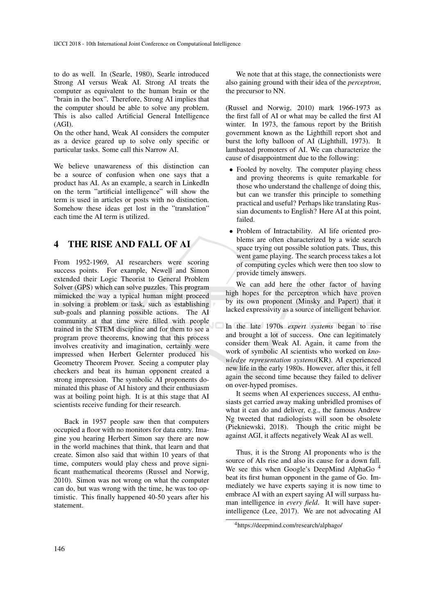to do as well. In (Searle, 1980), Searle introduced Strong AI versus Weak AI. Strong AI treats the computer as equivalent to the human brain or the "brain in the box". Therefore, Strong AI implies that the computer should be able to solve any problem. This is also called Artificial General Intelligence (AGI).

On the other hand, Weak AI considers the computer as a device geared up to solve only specific or particular tasks. Some call this Narrow AI.

We believe unawareness of this distinction can be a source of confusion when one says that a product has AI. As an example, a search in LinkedIn on the term "artificial intelligence" will show the term is used in articles or posts with no distinction. Somehow these ideas get lost in the "translation" each time the AI term is utilized.

## 4 THE RISE AND FALL OF AI

From 1952-1969, AI researchers were scoring success points. For example, Newell and Simon extended their Logic Theorist to General Problem Solver (GPS) which can solve puzzles. This program mimicked the way a typical human might proceed in solving a problem or task, such as establishing sub-goals and planning possible actions. The AI community at that time were filled with people trained in the STEM discipline and for them to see a program prove theorems, knowing that this process involves creativity and imagination, certainly were impressed when Herbert Gelernter produced his Geometry Theorem Prover. Seeing a computer play checkers and beat its human opponent created a strong impression. The symbolic AI proponents dominated this phase of AI history and their enthusiasm was at boiling point high. It is at this stage that AI scientists receive funding for their research.

Back in 1957 people saw then that computers occupied a floor with no monitors for data entry. Imagine you hearing Herbert Simon say there are now in the world machines that think, that learn and that create. Simon also said that within 10 years of that time, computers would play chess and prove significant mathematical theorems (Russel and Norwig, 2010). Simon was not wrong on what the computer can do, but was wrong with the time, he was too optimistic. This finally happened 40-50 years after his statement.

We note that at this stage, the connectionists were also gaining ground with their idea of the *perceptron*, the precursor to NN.

(Russel and Norwig, 2010) mark 1966-1973 as the first fall of AI or what may be called the first AI winter. In 1973, the famous report by the British government known as the Lighthill report shot and burst the lofty balloon of AI (Lighthill, 1973). It lambasted promoters of AI. We can characterize the cause of disappointment due to the following:

- Fooled by novelty. The computer playing chess and proving theorems is quite remarkable for those who understand the challenge of doing this, but can we transfer this principle to something practical and useful? Perhaps like translating Russian documents to English? Here AI at this point, failed.
- Problem of Intractability. AI life oriented problems are often characterized by a wide search space trying out possible solution pats. Thus, this went game playing. The search process takes a lot of computing cycles which were then too slow to provide timely answers.

We can add here the other factor of having high hopes for the perceptron which have proven by its own proponent (Minsky and Papert) that it lacked expressivity as a source of intelligent behavior.

In the late 1970s *expert systems* began to rise and brought a lot of success. One can legitimately consider them Weak AI. Again, it came from the work of symbolic AI scientists who worked on *knowledge representation systems*(KR). AI experienced new life in the early 1980s. However, after this, it fell again the second time because they failed to deliver on over-hyped promises.

It seems when AI experiences success, AI enthusiasts get carried away making unbridled promises of what it can do and deliver, e.g., the famous Andrew Ng tweeted that radiologists will soon be obsolete (Piekniewski, 2018). Though the critic might be against AGI, it affects negatively Weak AI as well.

Thus, it is the Strong AI proponents who is the source of AIs rise and also its cause for a down fall. We see this when Google's DeepMind AlphaGo<sup>4</sup> beat its first human opponent in the game of Go. Immediately we have experts saying it is now time to embrace AI with an expert saying AI will surpass human intelligence in *every field*. It will have superintelligence (Lee, 2017). We are not advocating AI

<sup>4</sup>https://deepmind.com/research/alphago/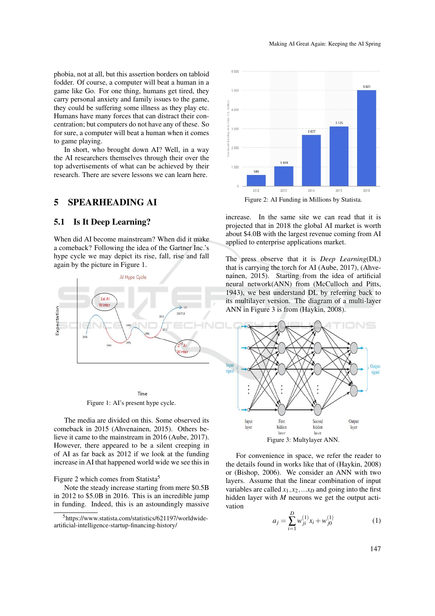phobia, not at all, but this assertion borders on tabloid fodder. Of course, a computer will beat a human in a game like Go. For one thing, humans get tired, they carry personal anxiety and family issues to the game, they could be suffering some illness as they play etc. Humans have many forces that can distract their concentration; but computers do not have any of these. So for sure, a computer will beat a human when it comes to game playing.

In short, who brought down AI? Well, in a way the AI researchers themselves through their over the top advertisements of what can be achieved by their research. There are severe lessons we can learn here.

## 5 SPEARHEADING AI

### 5.1 Is It Deep Learning?

When did AI become mainstream? When did it make a comeback? Following the idea of the Gartner Inc.'s hype cycle we may depict its rise, fall, rise and fall again by the picture in Figure 1.



Time Figure 1: AI's present hype cycle.

The media are divided on this. Some observed its comeback in 2015 (Ahvenainen, 2015). Others believe it came to the mainstream in 2016 (Aube, 2017). However, there appeared to be a silent creeping in of AI as far back as 2012 if we look at the funding increase in AI that happened world wide we see this in

#### Figure 2 which comes from Statista<sup>5</sup>

Note the steady increase starting from mere \$0.5B in 2012 to \$5.0B in 2016. This is an incredible jump in funding. Indeed, this is an astoundingly massive



Figure 2: AI Funding in Millions by Statista.

increase. In the same site we can read that it is projected that in 2018 the global AI market is worth about \$4.0B with the largest revenue coming from AI applied to enterprise applications market.

The press observe that it is *Deep Learning*(DL) that is carrying the torch for AI (Aube, 2017), (Ahvenainen, 2015). Starting from the idea of artificial neural network(ANN) from (McCulloch and Pitts, 1943), we best understand DL by referring back to its multilayer version. The diagram of a multi-layer ANN in Figure 3 is from (Haykin, 2008).



For convenience in space, we refer the reader to the details found in works like that of (Haykin, 2008) or (Bishop, 2006). We consider an ANN with two layers. Assume that the linear combination of input variables are called  $x_1, x_2, \ldots x_D$  and going into the first hidden layer with *M* neurons we get the output acti-

vation

$$
a_j = \sum_{i=1}^{D} w_{ji}^{(1)} x_i + w_{j0}^{(1)}
$$
 (1)

<sup>5</sup>https://www.statista.com/statistics/621197/worldwideartificial-intelligence-startup-financing-history/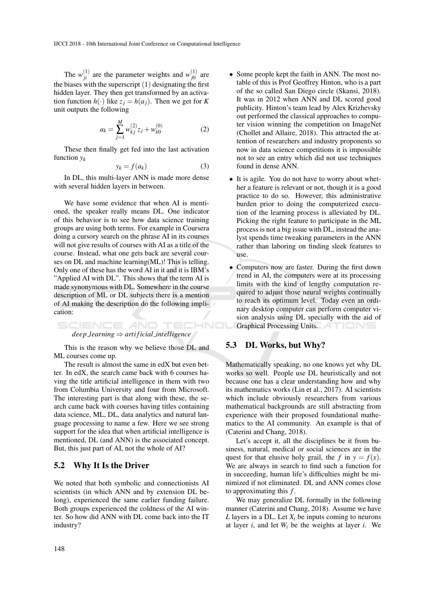The  $w_{ji}^{(1)}$  are the parameter weights and  $w_{j0}^{(1)}$  $j_0^{(1)}$  are the biases with the superscript  $(1)$  designating the first hidden layer. They then get transformed by an activation function  $h(\cdot)$  like  $z_j = h(a_j)$ . Then we get for *K* unit outputs the following

$$
a_k = \sum_{j=1}^{M} w_{kj}^{(2)} z_j + w_{k0}^{(0)}
$$
 (2)

These then finally get fed into the last activation function *y<sup>k</sup>*

$$
y_k = f(a_k) \tag{3}
$$

In DL, this multi-layer ANN is made more dense with several hidden layers in between.

We have some evidence that when AI is mentioned, the speaker really means DL. One indicator of this behavior is to see how data science training groups are using both terms. For example in Coursera doing a cursory search on the phrase AI in its courses will not give results of courses with AI as a title of the course. Instead, what one gets back are several courses on DL and machine learning(ML)! This is telling. Only one of these has the word AI in it and it is IBM's "Applied AI with DL". This shows that the term AI is made synonymous with DL. Somewhere in the course description of ML or DL subjects there is a mention of AI making the description do the following implication:

$$
deepLearning \Rightarrow artificial\_intelligence
$$

This is the reason why we believe those DL and ML courses come up.

The result is almost the same in edX but even better. In edX, the search came back with 6 courses having the title artificial intelligence in them with two from Columbia University and four from Microsoft. The interesting part is that along with these, the search came back with courses having titles containing data science, ML, DL, data analytics and natural language processing to name a few. Here we see strong support for the idea that when artificial intelligence is mentioned, DL (and ANN) is the associated concept. But, this just part of AI, not the whole of AI?

#### 5.2 Why It Is the Driver

We noted that both symbolic and connectionists AI scientists (in which ANN and by extension DL belong), experienced the same earlier funding failure. Both groups experienced the coldness of the AI winter. So how did ANN with DL come back into the IT industry?

- Some people kept the faith in ANN. The most notable of this is Prof Geoffrey Hinton, who is a part of the so called San Diego circle (Skansi, 2018). It was in 2012 when ANN and DL scored good publicity. Hinton's team lead by Alex Krizhevsky out performed the classical approaches to computer vision winning the competition on ImageNet (Chollet and Allaire, 2018). This attracted the attention of researchers and industry proponents so now in data science competitions it is impossible not to see an entry which did not use techniques found in dense ANN.
- It is agile. You do not have to worry about whether a feature is relevant or not, though it is a good practice to do so. However, this administrative burden prior to doing the computerized execution of the learning process is alleviated by DL. Picking the right feature to participate in the ML process is not a big issue with DL, instead the analyst spends time tweaking parameters in the ANN rather than laboring on finding sleek features to use.
- Computers now are faster. During the first down trend in AI, the computers were at its processing limits with the kind of lengthy computation required to adjust those neural weights continually to reach its optimum level. Today even an ordinary desktop computer can perform computer vision analysis using DL specially with the aid of Graphical Processing Units.

### 5.3 DL Works, but Why?

Mathematically speaking, no one knows yet why DL works so well. People use DL heuristically and not because one has a clear understanding how and why its mathematics works (Lin et al., 2017). AI scientists which include obviously researchers from various mathematical backgrounds are still abstracting from experience with their proposed foundational mathematics to the AI community. An example is that of (Caterini and Chang, 2018).

Let's accept it, all the disciplines be it from business, natural, medical or social sciences are in the quest for that elusive holy grail, the *f* in  $y = f(x)$ . We are always in search to find such a function for in succeeding, human life's difficulties might be minimized if not eliminated. DL and ANN comes close to approximating this *f* .

We may generalize DL formally in the following manner (Caterini and Chang, 2018). Assume we have *L* layers in a DL. Let  $X_i$  be inputs coming to neurons at layer *i*, and let *W<sup>i</sup>* be the weights at layer *i*. We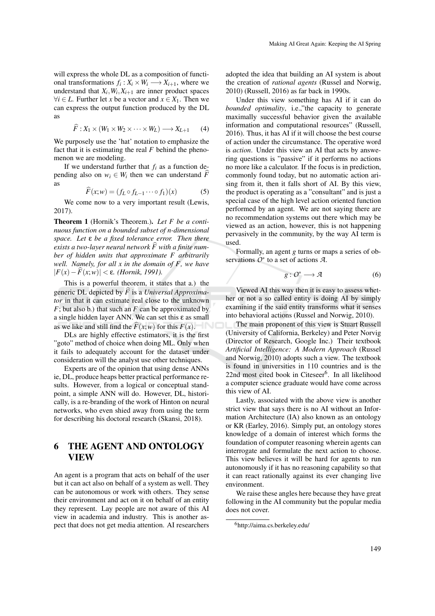will express the whole DL as a composition of functional transformations  $f_i: X_i \times W_i \longrightarrow X_{i+1}$ , where we understand that  $X_i$ ,  $W_i$ ,  $X_{i+1}$  are inner product spaces  $∀*i* ∈ *L*. Further let *x* be a vector and *x* ∈ *X*<sub>1</sub>. Then we$ can express the output function produced by the DL as

$$
\widehat{F}: X_1 \times (W_1 \times W_2 \times \cdots \times W_L) \longrightarrow X_{L+1} \qquad (4)
$$

We purposely use the 'hat' notation to emphasize the fact that it is estimating the real *F* behind the phenomenon we are modeling.

If we understand further that  $f_i$  as a function depending also on  $w_i \in W_i$  then we can understand  $F$ as

$$
\widehat{F}(x;w) = (f_L \circ f_{L-1} \cdots \circ f_1)(x) \tag{5}
$$

We come now to a very important result (Lewis, 2017).

Theorem 1 (Hornik's Theorem.). *Let F be a continuous function on a bounded subset of n-dimensional space. Let* ε *be a fixed tolerance error. Then there exists a two-layer neural network*  $\widehat{F}$  with a finite num*ber of hidden units that approximate F arbitrarily well. Namely, for all x in the domain of F, we have* |*F*(*x*)−*F*b(*x*;*w*)| < ε*. (Hornik, 1991).*

This is a powerful theorem, it states that a.) the generic DL depicted by  $\hat{F}$  is a *Universal Approximator* in that it can estimate real close to the unknown *F*; but also b.) that such an *F* can be approximated by a single hidden layer ANN. We can set this  $\varepsilon$  as small as we like and still find the  $\widehat{F}(x;w)$  for this  $F(x)$ .

DLs are highly effective estimators, it is the first "goto" method of choice when doing ML. Only when it fails to adequately account for the dataset under consideration will the analyst use other techniques.

Experts are of the opinion that using dense ANNs ie, DL, produce heaps better practical performance results. However, from a logical or conceptual standpoint, a simple ANN will do. However, DL, historically, is a re-branding of the work of Hinton on neural networks, who even shied away from using the term for describing his doctoral research (Skansi, 2018).

## 6 THE AGENT AND ONTOLOGY VIEW

An agent is a program that acts on behalf of the user but it can act also on behalf of a system as well. They can be autonomous or work with others. They sense their environment and act on it on behalf of an entity they represent. Lay people are not aware of this AI view in academia and industry. This is another aspect that does not get media attention. AI researchers adopted the idea that building an AI system is about the creation of *rational agents* (Russel and Norwig, 2010) (Russell, 2016) as far back in 1990s.

Under this view something has AI if it can do *bounded optimality*, i.e.,"the capacity to generate maximally successful behavior given the available information and computational resources" (Russell, 2016). Thus, it has AI if it will choose the best course of action under the circumstance. The operative word is *action*. Under this view an AI that acts by answering questions is "passive" if it performs no actions no more like a calculator. If the focus is in prediction, commonly found today, but no automatic action arising from it, then it falls short of AI. By this view, the product is operating as a "consultant" and is just a special case of the high level action oriented function performed by an agent. We are not saying there are no recommendation systems out there which may be viewed as an action, however, this is not happening pervasively in the community, by the way AI term is used.

Formally, an agent *g* turns or maps a series of observations *O*<sup>∗</sup> to a set of actions *A*.

$$
g: O^* \longrightarrow \mathcal{A} \tag{6}
$$

Viewed AI this way then it is easy to assess whether or not a so called entity is doing AI by simply examining if the said entity transforms what it senses into behavioral actions (Russel and Norwig, 2010).

The main proponent of this view is Stuart Russell (University of California, Berkeley) and Peter Norvig (Director of Research, Google Inc.) Their textbook *Artificial Intelligence: A Modern Approach* (Russel and Norwig, 2010) adopts such a view. The textbook is found in universities in 110 countries and is the 22nd most cited book in Citeseer<sup>6</sup>. In all likelihood a computer science graduate would have come across this view of AI.

Lastly, associated with the above view is another strict view that says there is no AI without an Information Architecture (IA) also known as an ontology or KR (Earley, 2016). Simply put, an ontology stores knowledge of a domain of interest which forms the foundation of computer reasoning wherein agents can interrogate and formulate the next action to choose. This view believes it will be hard for agents to run autonomously if it has no reasoning capability so that it can react rationally against its ever changing live environment.

We raise these angles here because they have great following in the AI community but the popular media does not cover.

<sup>6</sup>http://aima.cs.berkeley.edu/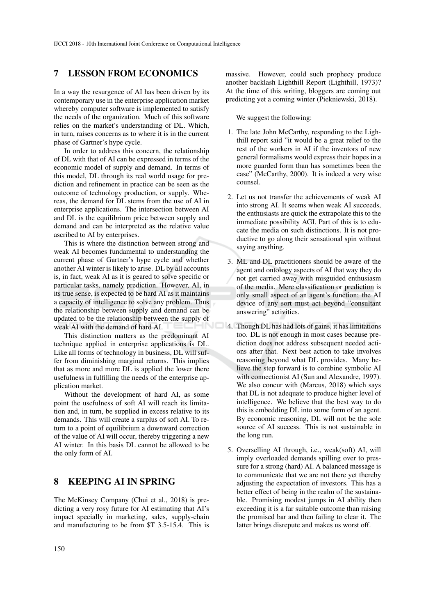## 7 LESSON FROM ECONOMICS

In a way the resurgence of AI has been driven by its contemporary use in the enterprise application market whereby computer software is implemented to satisfy the needs of the organization. Much of this software relies on the market's understanding of DL. Which, in turn, raises concerns as to where it is in the current phase of Gartner's hype cycle.

In order to address this concern, the relationship of DL with that of AI can be expressed in terms of the economic model of supply and demand. In terms of this model, DL through its real world usage for prediction and refinement in practice can be seen as the outcome of technology production, or supply. Whereas, the demand for DL stems from the use of AI in enterprise applications. The intersection between AI and DL is the equilibrium price between supply and demand and can be interpreted as the relative value ascribed to AI by enterprises.

This is where the distinction between strong and weak AI becomes fundamental to understanding the current phase of Gartner's hype cycle and whether another AI winter is likely to arise. DL by all accounts is, in fact, weak AI as it is geared to solve specific or particular tasks, namely prediction. However, AI, in its true sense, is expected to be hard AI as it maintains a capacity of intelligence to solve any problem. Thus the relationship between supply and demand can be updated to be the relationship between the supply of weak AI with the demand of hard AI.

This distinction matters as the predominant AI technique applied in enterprise applications is DL. Like all forms of technology in business, DL will suffer from diminishing marginal returns. This implies that as more and more DL is applied the lower there usefulness in fulfilling the needs of the enterprise application market.

Without the development of hard AI, as some point the usefulness of soft AI will reach its limitation and, in turn, be supplied in excess relative to its demands. This will create a surplus of soft AI. To return to a point of equilibrium a downward correction of the value of AI will occur, thereby triggering a new AI winter. In this basis DL cannot be allowed to be the only form of AI.

# 8 KEEPING AI IN SPRING

The McKinsey Company (Chui et al., 2018) is predicting a very rosy future for AI estimating that AI's impact specially in marketing, sales, supply-chain and manufacturing to be from \$T 3.5-15.4. This is

massive. However, could such prophecy produce another backlash Lighthill Report (Lighthill, 1973)? At the time of this writing, bloggers are coming out predicting yet a coming winter (Piekniewski, 2018).

We suggest the following:

- 1. The late John McCarthy, responding to the Lighthill report said "it would be a great relief to the rest of the workers in AI if the inventors of new general formalisms would express their hopes in a more guarded form than has sometimes been the case" (McCarthy, 2000). It is indeed a very wise counsel.
- 2. Let us not transfer the achievements of weak AI into strong AI. It seems when weak AI succeeds, the enthusiasts are quick the extrapolate this to the immediate possibility AGI. Part of this is to educate the media on such distinctions. It is not productive to go along their sensational spin without saying anything.
- 3. ML and DL practitioners should be aware of the agent and ontology aspects of AI that way they do not get carried away with misguided enthusiasm of the media. Mere classification or prediction is only small aspect of an agent's function; the AI device of any sort must act beyond "consultant answering" activities.
- 4. Though DL has had lots of gains, it has limitations too. DL is not enough in most cases because prediction does not address subsequent needed actions after that. Next best action to take involves reasoning beyond what DL provides. Many believe the step forward is to combine symbolic AI with connectionist AI (Sun and Alexandre, 1997). We also concur with (Marcus, 2018) which says that DL is not adequate to produce higher level of intelligence. We believe that the best way to do this is embedding DL into some form of an agent. By economic reasoning, DL will not be the sole source of AI success. This is not sustainable in the long run.
	- 5. Overselling AI through, i.e., weak(soft) AI, will imply overloaded demands spilling over to pressure for a strong (hard) AI. A balanced message is to communicate that we are not there yet thereby adjusting the expectation of investors. This has a better effect of being in the realm of the sustainable. Promising modest jumps in AI ability then exceeding it is a far suitable outcome than raising the promised bar and then failing to clear it. The latter brings disrepute and makes us worst off.